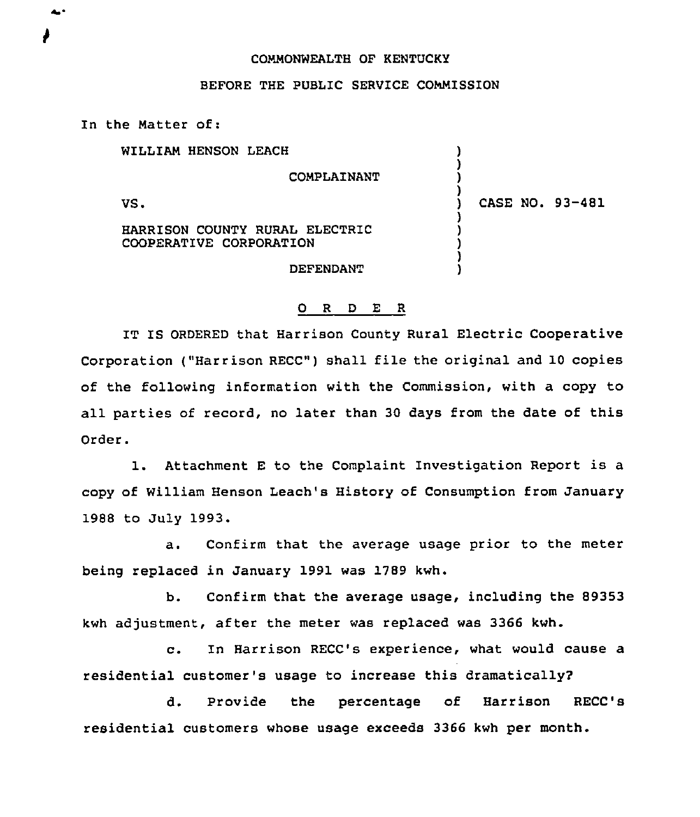## CONMONWEALTH OF KENTUCKY

## BEFORE THE PUBLIC SERVICE COMMISSION

In the Natter of:

WILLIAM HENSON LEACH

CONPLAINANT

VS.

 $\triangle$ 

) CASE NO. 93-481

) ) ) )

> ) ) ) ) )

HARRISON COUNTY RURAL ELECTRIC COOPERATIVE CORPORATION

DEFENDANT

## O R D E R

IT IS ORDERED that Harrison County Rural Electric Cooperative Corporation ("Harrison RECC") shall file the original and 10 copies of the following information with the Commission, with a copy to all parties of record, no later than 30 days from the date of this Order.

1. Attachment <sup>E</sup> to the Complaint Investigation Report is <sup>a</sup> copy of William Henson Leach's History of Consumption from January 1988 to July 1993.

a. Confirm that the average usage prior to the meter being replaced in January 1991 was 1789 kwh.

b. Confirm that the average usage, including the 89353 kwh adjustment, after the meter was replaced was 3366 kwh.

c. In Harrison RECC's experience, what would cause <sup>a</sup> residential customer's usage to increase this dramatically?

d. Provide the percentage of Harrison RECC's residential customers whose usage exceeds 3366 kwh per month.